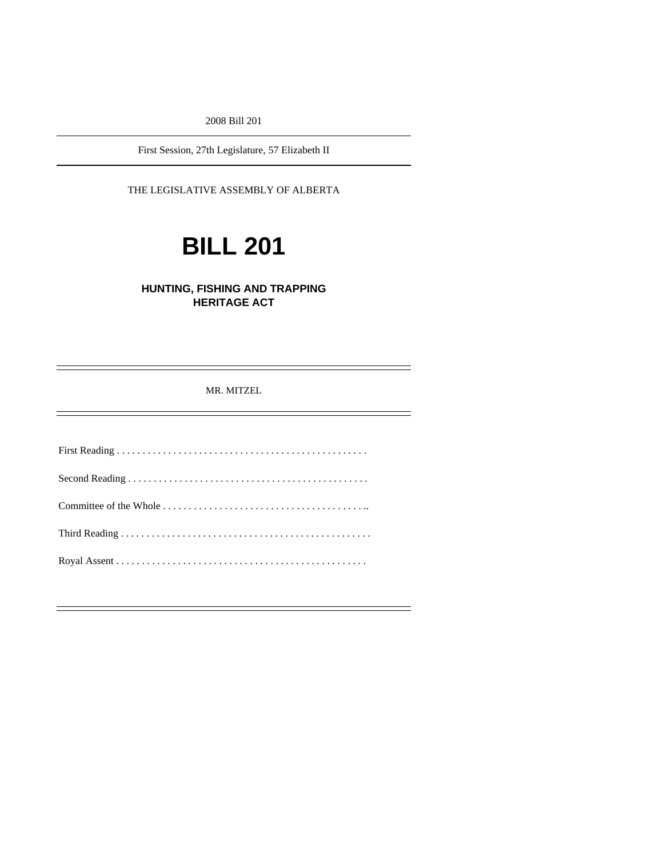2008 Bill 201

First Session, 27th Legislature, 57 Elizabeth II

## THE LEGISLATIVE ASSEMBLY OF ALBERTA

# **BILL 201**

# **HUNTING, FISHING AND TRAPPING HERITAGE ACT**

MR. MITZEL